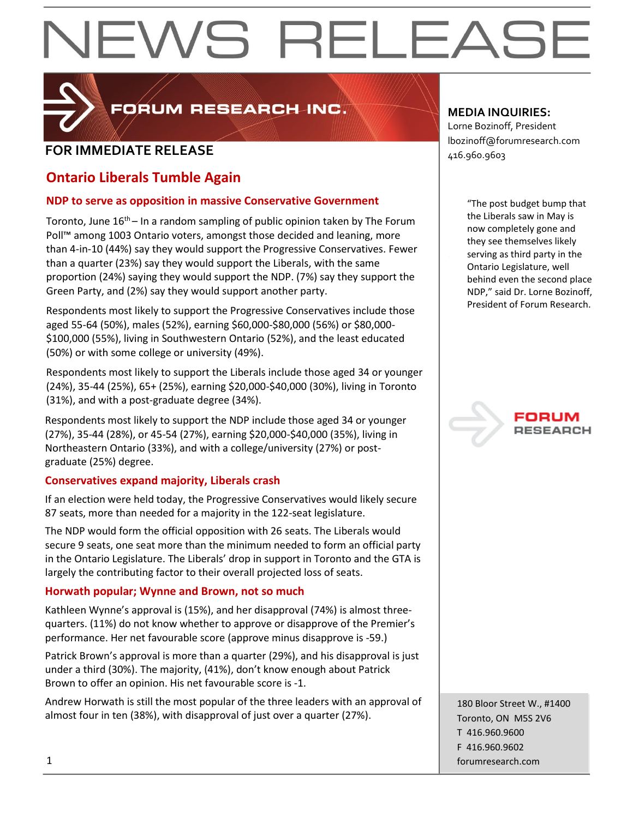

FORUM RESEARCH INC.

### **FOR IMMEDIATE RELEASE**  $\begin{bmatrix} 1.56 & 0.0000 & 0.00000 & 0.00000 & 0.00000 & 0.00000 & 0.00000 & 0.00000 & 0.00000 & 0.00000 & 0.00000 & 0.00000 & 0.00000 & 0.00000 & 0.00000 & 0.00000 & 0.00000 & 0.00000 & 0.00000 & 0.00000 & 0.00000 & 0.000$

### **Ontario Liberals Tumble Again**

### **NDP to serve as opposition in massive Conservative Government**

Toronto, June  $16<sup>th</sup>$  – In a random sampling of public opinion taken by The Forum Poll™ among 1003 Ontario voters, amongst those decided and leaning, more than 4-in-10 (44%) say they would support the Progressive Conservatives. Fewer than a quarter (23%) say they would support the Liberals, with the same proportion (24%) saying they would support the NDP. (7%) say they support the Green Party, and (2%) say they would support another party.

Respondents most likely to support the Progressive Conservatives include those aged 55-64 (50%), males (52%), earning \$60,000-\$80,000 (56%) or \$80,000- \$100,000 (55%), living in Southwestern Ontario (52%), and the least educated (50%) or with some college or university (49%).

Respondents most likely to support the Liberals include those aged 34 or younger (24%), 35-44 (25%), 65+ (25%), earning \$20,000-\$40,000 (30%), living in Toronto (31%), and with a post-graduate degree (34%).

Respondents most likely to support the NDP include those aged 34 or younger (27%), 35-44 (28%), or 45-54 (27%), earning \$20,000-\$40,000 (35%), living in Northeastern Ontario (33%), and with a college/university (27%) or postgraduate (25%) degree.

### **Conservatives expand majority, Liberals crash**

If an election were held today, the Progressive Conservatives would likely secure 87 seats, more than needed for a majority in the 122-seat legislature.

The NDP would form the official opposition with 26 seats. The Liberals would secure 9 seats, one seat more than the minimum needed to form an official party in the Ontario Legislature. The Liberals' drop in support in Toronto and the GTA is largely the contributing factor to their overall projected loss of seats.

### **Horwath popular; Wynne and Brown, not so much**

Kathleen Wynne's approval is (15%), and her disapproval (74%) is almost threequarters. (11%) do not know whether to approve or disapprove of the Premier's performance. Her net favourable score (approve minus disapprove is -59.)

Patrick Brown's approval is more than a quarter (29%), and his disapproval is just under a third (30%). The majority, (41%), don't know enough about Patrick Brown to offer an opinion. His net favourable score is -1.

Andrew Horwath is still the most popular of the three leaders with an approval of almost four in ten (38%), with disapproval of just over a quarter (27%).

### **MEDIA INQUIRIES:**

Lorne Bozinoff, President lbozinoff@forumresearch.com

> "The post budget bump that the Liberals saw in May is now completely gone and they see themselves likely serving as third party in the Ontario Legislature, well behind even the second place NDP," said Dr. Lorne Bozinoff, President of Forum Research.

## **RESEARCH**

180 Bloor Street W., #1400 Toronto, ON M5S 2V6 T 416.960.9600 F 416.960.9602 1 forumresearch.com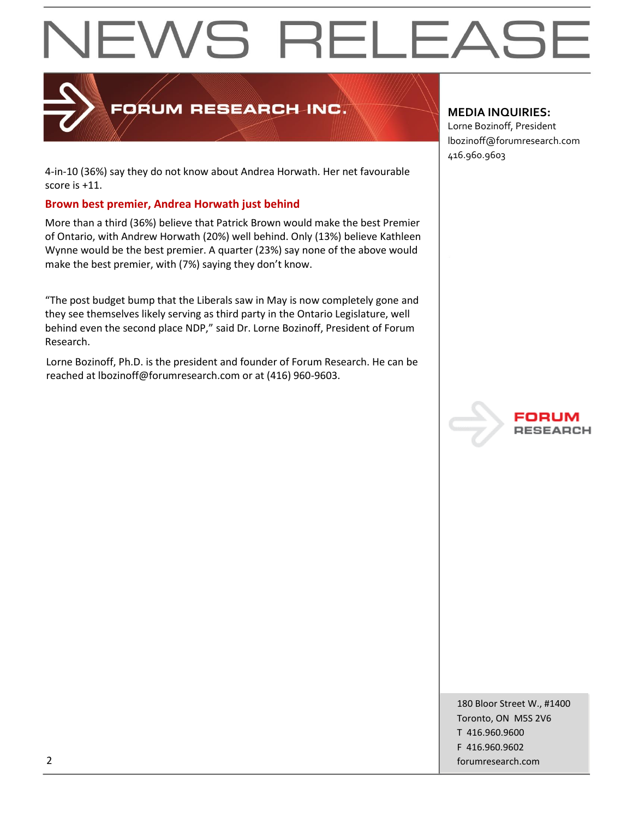

### FORUM RESEARCH INC.

4-in-10 (36%) say they do not know about Andrea Horwath. Her net favourable score is +11.

#### **Brown best premier, Andrea Horwath just behind**

More than a third (36%) believe that Patrick Brown would make the best Premier of Ontario, with Andrew Horwath (20%) well behind. Only (13%) believe Kathleen Wynne would be the best premier. A quarter (23%) say none of the above would make the best premier, with (7%) saying they don't know.

"The post budget bump that the Liberals saw in May is now completely gone and they see themselves likely serving as third party in the Ontario Legislature, well behind even the second place NDP," said Dr. Lorne Bozinoff, President of Forum Research.

Lorne Bozinoff, Ph.D. is the president and founder of Forum Research. He can be reached at lbozinoff@forumresearch.com or at (416) 960-9603.

#### **MEDIA INQUIRIES:**

Lorne Bozinoff, President lbozinoff@forumresearch.com 416.960.9603



180 Bloor Street W., #1400 Toronto, ON M5S 2V6 T 416.960.9600 F 416.960.9602 2 forumresearch.com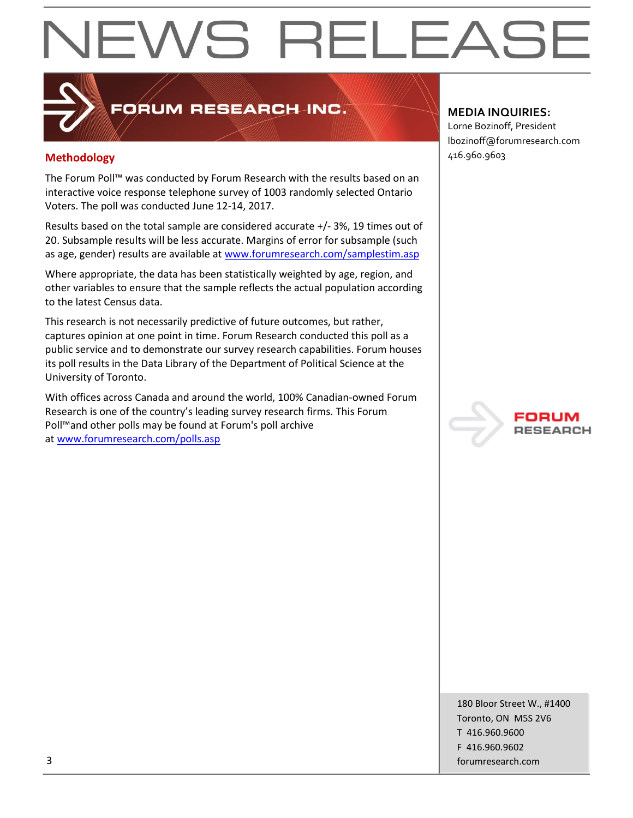### FORUM RESEARCH INC.

### **Methodology** 416.960.9603

The Forum Poll™ was conducted by Forum Research with the results based on an interactive voice response telephone survey of 1003 randomly selected Ontario Voters. The poll was conducted June 12-14, 2017.

Results based on the total sample are considered accurate +/- 3%, 19 times out of 20. Subsample results will be less accurate. Margins of error for subsample (such as age, gender) results are available at [www.forumresearch.com/samplestim.asp](http://www.forumresearch.com/samplestim.asp)

Where appropriate, the data has been statistically weighted by age, region, and other variables to ensure that the sample reflects the actual population according to the latest Census data.

This research is not necessarily predictive of future outcomes, but rather, captures opinion at one point in time. Forum Research conducted this poll as a public service and to demonstrate our survey research capabilities. Forum houses its poll results in the Data Library of the Department of Political Science at the University of Toronto.

With offices across Canada and around the world, 100% Canadian-owned Forum Research is one of the country's leading survey research firms. This Forum Poll™and other polls may be found at Forum's poll archive at [www.forumresearch.com/polls.asp](http://www.forumresearch.com/polls.asp)

#### **MEDIA INQUIRIES:**

Lorne Bozinoff, President lbozinoff@forumresearch.com



180 Bloor Street W., #1400 Toronto, ON M5S 2V6 T 416.960.9600 F 416.960.9602 3 forumresearch.com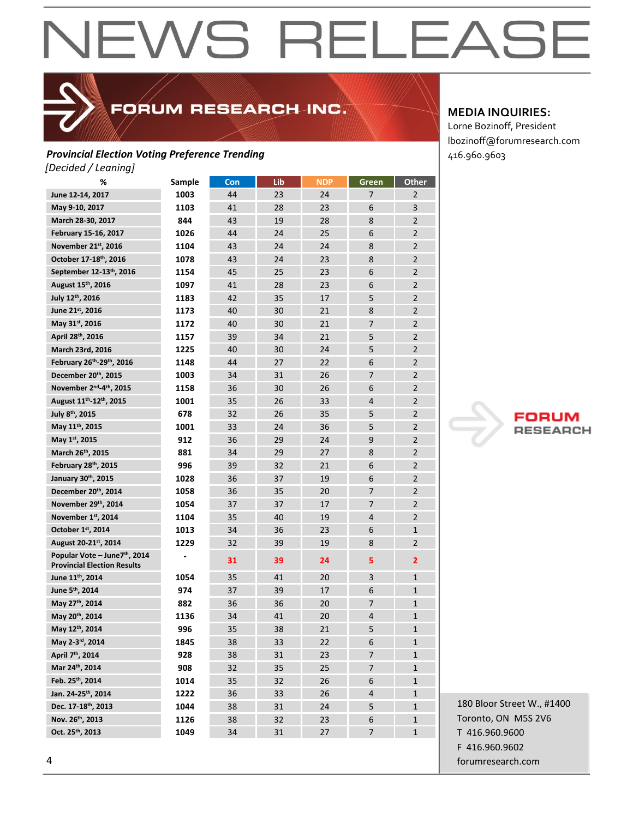FORUM RESEARCH INC.

#### **Provincial Election Voting Preference Trending** 416.960.9603 *[Decided / Leaning]*

| %                                                                               | Sample | Con | Lib | <b>NDP</b> | Green          | Other          |
|---------------------------------------------------------------------------------|--------|-----|-----|------------|----------------|----------------|
| June 12-14, 2017                                                                | 1003   | 44  | 23  | 24         | 7              | 2              |
| May 9-10, 2017                                                                  | 1103   | 41  | 28  | 23         | 6              | 3              |
| March 28-30, 2017                                                               | 844    | 43  | 19  | 28         | 8              | $\overline{2}$ |
| February 15-16, 2017                                                            | 1026   | 44  | 24  | 25         | 6              | $\overline{2}$ |
| November 21st, 2016                                                             | 1104   | 43  | 24  | 24         | 8              | $\overline{2}$ |
| October 17-18 <sup>th</sup> , 2016                                              | 1078   | 43  | 24  | 23         | 8              | $\overline{2}$ |
| September 12-13th, 2016                                                         | 1154   | 45  | 25  | 23         | 6              | $\overline{2}$ |
| August 15th, 2016                                                               | 1097   | 41  | 28  | 23         | 6              | $\overline{2}$ |
| July 12th, 2016                                                                 | 1183   | 42  | 35  | 17         | 5              | $\overline{2}$ |
| June 21st, 2016                                                                 | 1173   | 40  | 30  | 21         | 8              | $\overline{2}$ |
| May 31st, 2016                                                                  | 1172   | 40  | 30  | 21         | $\overline{7}$ | $\overline{2}$ |
| April 28th, 2016                                                                | 1157   | 39  | 34  | 21         | 5              | $\overline{2}$ |
| March 23rd, 2016                                                                | 1225   | 40  | 30  | 24         | 5              | $\overline{2}$ |
| February 26th-29th, 2016                                                        | 1148   | 44  | 27  | 22         | 6              | $\overline{2}$ |
| December 20th, 2015                                                             | 1003   | 34  | 31  | 26         | $\overline{7}$ | $\overline{2}$ |
| November 2 <sup>nd</sup> -4 <sup>th</sup> , 2015                                | 1158   | 36  | 30  | 26         | 6              | $\overline{2}$ |
| August 11 <sup>th</sup> -12 <sup>th</sup> , 2015                                | 1001   | 35  | 26  | 33         | 4              | $\overline{2}$ |
| July 8 <sup>th</sup> , 2015                                                     | 678    | 32  | 26  | 35         | 5              | $\overline{2}$ |
| May 11th, 2015                                                                  | 1001   | 33  | 24  | 36         | 5              | $\overline{2}$ |
| May 1st, 2015                                                                   | 912    | 36  | 29  | 24         | 9              | $\overline{2}$ |
| March 26th, 2015                                                                | 881    | 34  | 29  | 27         | 8              | $\overline{2}$ |
| February 28th, 2015                                                             | 996    | 39  | 32  | 21         | 6              | $\overline{2}$ |
| January 30th, 2015                                                              | 1028   | 36  | 37  | 19         | 6              | $\overline{2}$ |
| December 20th, 2014                                                             | 1058   | 36  | 35  | 20         | $\overline{7}$ | $\overline{2}$ |
| November 29th, 2014                                                             | 1054   | 37  | 37  | 17         | 7              | $\overline{2}$ |
| November 1st, 2014                                                              | 1104   | 35  | 40  | 19         | 4              | $\overline{2}$ |
| October 1st, 2014                                                               | 1013   | 34  | 36  | 23         | 6              | $\mathbf{1}$   |
| August 20-21st, 2014                                                            | 1229   | 32  | 39  | 19         | 8              | $\overline{2}$ |
| Popular Vote - June7 <sup>th</sup> , 2014<br><b>Provincial Election Results</b> |        | 31  | 39  | 24         | 5              | $\overline{2}$ |
| June 11 <sup>th</sup> , 2014                                                    | 1054   | 35  | 41  | 20         | 3              | $\mathbf{1}$   |
| June 5th, 2014                                                                  | 974    | 37  | 39  | 17         | 6              | $\mathbf{1}$   |
| May 27th, 2014                                                                  | 882    | 36  | 36  | 20         | 7              | $\mathbf{1}$   |
| May 20th, 2014                                                                  | 1136   | 34  | 41  | 20         | 4              | $\mathbf{1}$   |
| May 12th, 2014                                                                  | 996    | 35  | 38  | 21         | 5              | $\mathbf{1}$   |
| May 2-3rd, 2014                                                                 | 1845   | 38  | 33  | 22         | 6              | $\mathbf{1}$   |
| April 7 <sup>th</sup> , 2014                                                    | 928    | 38  | 31  | 23         | 7              | 1              |
| Mar 24th, 2014                                                                  | 908    | 32  | 35  | 25         | 7              | $\mathbf{1}$   |
| Feb. 25th, 2014                                                                 | 1014   | 35  | 32  | 26         | 6              | $\mathbf{1}$   |
| Jan. 24-25th, 2014                                                              | 1222   | 36  | 33  | 26         | 4              | 1              |
| Dec. 17-18th, 2013                                                              | 1044   | 38  | 31  | 24         | 5              | 1              |
| Nov. 26th, 2013                                                                 | 1126   | 38  | 32  | 23         | 6              | 1              |
| Oct. 25th, 2013                                                                 | 1049   | 34  | 31  | 27         | 7              | $\mathbf{1}$   |

#### **MEDIA INQUIRIES:**

Lorne Bozinoff, President lbozinoff@forumresearch.com

**RESEARCH** 

180 Bloor Street W., #1400 Toronto, ON M5S 2V6 T 416.960.9600 F 416.960.9602 4 forumresearch.com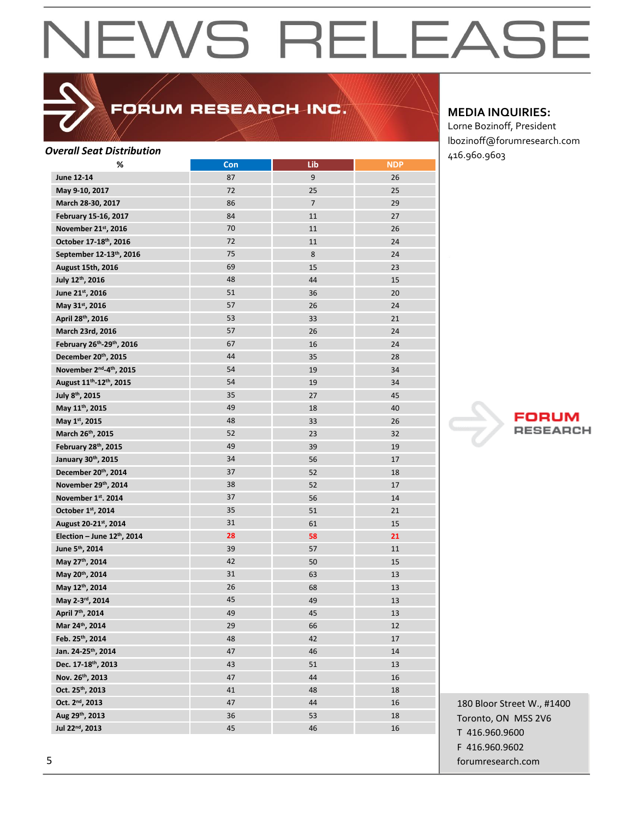### FORUM RESEARCH INC.

| <b>Overall Seat Distribution</b>                   |     |                |            | 416.960.9603 |
|----------------------------------------------------|-----|----------------|------------|--------------|
| %                                                  | Con | Lib            | <b>NDP</b> |              |
| June 12-14                                         | 87  | 9              | 26         |              |
| May 9-10, 2017                                     | 72  | 25             | 25         |              |
| March 28-30, 2017                                  | 86  | $\overline{7}$ | 29         |              |
| February 15-16, 2017                               | 84  | 11             | 27         |              |
| November 21st, 2016                                | 70  | 11             | 26         |              |
| October 17-18th, 2016                              | 72  | 11             | 24         |              |
| September 12-13th, 2016                            | 75  | 8              | 24         |              |
| <b>August 15th, 2016</b>                           | 69  | 15             | 23         |              |
| July 12th, 2016                                    | 48  | 44             | 15         |              |
| June 21st, 2016                                    | 51  | 36             | 20         |              |
| May 31st, 2016                                     | 57  | 26             | 24         |              |
| April 28th, 2016                                   | 53  | 33             | 21         |              |
| March 23rd, 2016                                   | 57  | 26             | 24         |              |
| February 26 <sup>th</sup> -29 <sup>th</sup> , 2016 | 67  | 16             | 24         |              |
| December 20th, 2015                                | 44  | 35             | 28         |              |
| November 2 <sup>nd</sup> -4 <sup>th</sup> , 2015   | 54  | 19             | 34         |              |
| August 11 <sup>th</sup> -12 <sup>th</sup> , 2015   | 54  | 19             | 34         |              |
| July 8th, 2015                                     | 35  | 27             | 45         |              |
| May 11th, 2015                                     | 49  | 18             | 40         |              |
| May 1st, 2015                                      | 48  | 33             | 26         |              |
| March 26th, 2015                                   | 52  | 23             | 32         | 7            |
| February 28th, 2015                                | 49  | 39             | 19         |              |
| January 30th, 2015                                 | 34  | 56             | 17         |              |
| December 20th, 2014                                | 37  | 52             | 18         |              |
| November 29th, 2014                                | 38  | 52             | 17         |              |
| November 1st. 2014                                 | 37  | 56             | 14         |              |
| October 1st, 2014                                  | 35  | 51             | 21         |              |
| August 20-21st, 2014                               | 31  | 61             | 15         |              |
| Election - June 12th, 2014                         | 28  | 58             | 21         |              |
| June 5th, 2014                                     | 39  | 57             | 11         |              |
| May 27th, 2014                                     | 42  | 50             | 15         |              |
| May 20th, 2014                                     | 31  | 63             | 13         |              |
| May 12th, 2014                                     | 26  | 68             | 13         |              |
| May 2-3rd, 2014                                    | 45  | 49             | 13         |              |
| April 7th, 2014                                    | 49  | 45             | 13         |              |
| Mar 24th, 2014                                     | 29  | 66             | 12         |              |
| Feb. 25th, 2014                                    | 48  | 42             | 17         |              |
| Jan. 24-25th, 2014                                 | 47  | 46             | 14         |              |
| Dec. 17-18th, 2013                                 | 43  | 51             | 13         |              |
| Nov. 26th, 2013                                    | 47  | 44             | 16         |              |
| Oct. 25th, 2013                                    | 41  | 48             | 18         |              |
| Oct. 2 <sup>nd</sup> , 2013                        | 47  | 44             | 16         |              |
| Aug 29th, 2013                                     | 36  |                |            | 180 Bloor S  |
|                                                    |     | 53             | 18         | Toronto, ON  |
| Jul 22 <sup>nd</sup> , 2013                        | 45  | 46             | 16         | T 416.960.9  |

#### **MEDIA INQUIRIES:**

Lorne Bozinoff, President lbozinoff@forumresearch.com



180 Bloor Street W., #1400 Toronto, ON M5S 2V6 T 416.960.9600 F 416.960.9602 5 forumresearch.com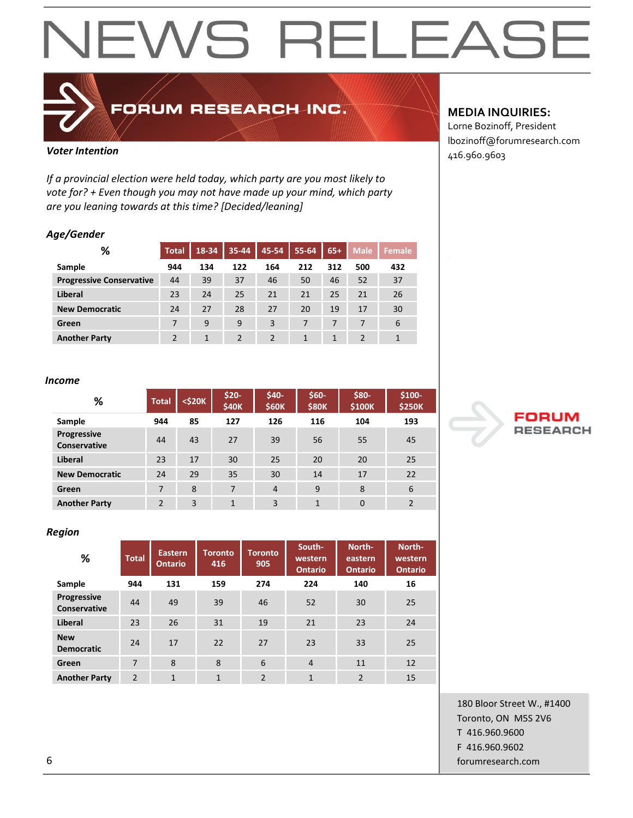

## FORUM RESEARCH INC.

*If a provincial election were held today, which party are you most likely to vote for? + Even though you may not have made up your mind, which party are you leaning towards at this time? [Decided/leaning]*

#### *Age/Gender*

| %                               | <b>Total</b> | 18-34 | 35-44          | 45-54 | 55-64 | $65+$ | <b>Male</b> | <b>Female</b> |
|---------------------------------|--------------|-------|----------------|-------|-------|-------|-------------|---------------|
| Sample                          | 944          | 134   | 122            | 164   | 212   | 312   | 500         | 432           |
| <b>Progressive Conservative</b> | 44           | 39    | 37             | 46    | 50    | 46    | 52          | 37            |
| Liberal                         | 23           | 24    | 25             | 21    | 21    | 25    | 21          | 26            |
| <b>New Democratic</b>           | 24           | 27    | 28             | 27    | 20    | 19    | 17          | 30            |
| Green                           | 7            | 9     | 9              | 3     | 7     | 7     | 7           | 6             |
| <b>Another Party</b>            |              | 1     | $\overline{2}$ |       |       |       | 2           | 1             |

#### *Income*

| %                                         | <b>Total</b>   | $<$ \$20 $K$ | $$20-$<br>\$40K | \$40-<br><b>\$60K</b> | \$60-<br><b>\$80K</b> | \$80-<br>\$100K | $$100-$<br><b>\$250K</b> |
|-------------------------------------------|----------------|--------------|-----------------|-----------------------|-----------------------|-----------------|--------------------------|
| Sample                                    | 944            | 85           | 127             | 126                   | 116                   | 104             | 193                      |
| <b>Progressive</b><br><b>Conservative</b> | 44             | 43           | 27              | 39                    | 56                    | 55              | 45                       |
| Liberal                                   | 23             | 17           | 30              | 25                    | 20                    | 20              | 25                       |
| <b>New Democratic</b>                     | 24             | 29           | 35              | 30                    | 14                    | 17              | 22                       |
| Green                                     | 7              | 8            | 7               | $\overline{4}$        | 9                     | 8               | 6                        |
| <b>Another Party</b>                      | $\overline{2}$ | 3            | $\overline{1}$  | 3                     | $\mathbf{1}$          | $\Omega$        | $\overline{2}$           |

#### *Region*

| %                                         | <b>Total</b>   | Eastern<br><b>Ontario</b> | <b>Toronto</b><br>416 | <b>Toronto</b><br>905 | South-<br>western<br><b>Ontario</b> | North-<br>eastern<br><b>Ontario</b> | North-<br>western<br><b>Ontario</b> |
|-------------------------------------------|----------------|---------------------------|-----------------------|-----------------------|-------------------------------------|-------------------------------------|-------------------------------------|
| <b>Sample</b>                             | 944            | 131                       | 159                   | 274                   | 224                                 | 140                                 | 16                                  |
| <b>Progressive</b><br><b>Conservative</b> | 44             | 49                        | 39                    | 46                    | 52                                  | 30                                  | 25                                  |
| Liberal                                   | 23             | 26                        | 31                    | 19                    | 21                                  | 23                                  | 24                                  |
| <b>New</b><br><b>Democratic</b>           | 24             | 17                        | 22                    | 27                    | 23                                  | 33                                  | 25                                  |
| Green                                     | 7              | 8                         | 8                     | 6                     | $\overline{4}$                      | 11                                  | 12                                  |
| <b>Another Party</b>                      | $\overline{2}$ | $\overline{1}$            | $\mathbf{1}$          | $\mathfrak{p}$        | $\mathbf{1}$                        | $\overline{2}$                      | 15                                  |

#### **MEDIA INQUIRIES:**

Lorne Bozinoff, President lbozinoff@forumresearch.com **Voter Intention Voter Intention 1997 1997 1998 1998 1998 1998 1998 1998 1998 1998 1999 1999 1999 1999 1999 1999 1999 1999 1999 1999 1999 1999 1999 1999 1999 1999 199** 



180 Bloor Street W., #1400 Toronto, ON M5S 2V6 T 416.960.9600 F 416.960.9602 6 forumresearch.com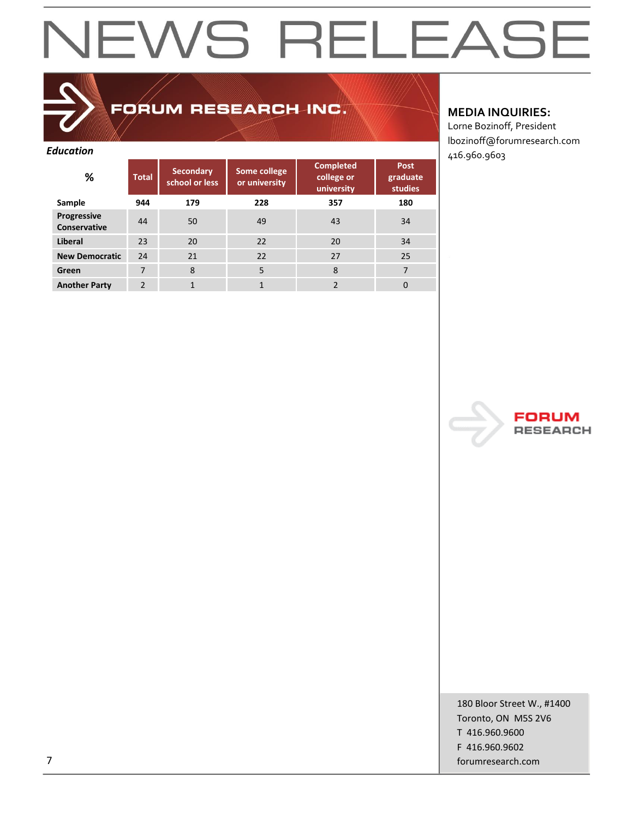## FORUM RESEARCH INC.

| <b>Education</b>            |                |                                    |                               |                                              |                                    | 416.960.9603 |
|-----------------------------|----------------|------------------------------------|-------------------------------|----------------------------------------------|------------------------------------|--------------|
| %                           | <b>Total</b>   | <b>Secondary</b><br>school or less | Some college<br>or university | <b>Completed</b><br>college or<br>university | Post<br>graduate<br><b>studies</b> |              |
| Sample                      | 944            | 179                                | 228                           | 357                                          | 180                                |              |
| Progressive<br>Conservative | 44             | 50                                 | 49                            | 43                                           | 34                                 |              |
| Liberal                     | 23             | 20                                 | 22                            | 20                                           | 34                                 |              |
| <b>New Democratic</b>       | 24             | 21                                 | 22                            | 27                                           | 25                                 |              |
| Green                       | 7              | 8                                  | 5                             | 8                                            | $\overline{7}$                     |              |
| <b>Another Party</b>        | $\overline{2}$ | $\mathbf{1}$                       | $\mathbf{1}$                  | 2                                            | 0                                  |              |

#### **MEDIA INQUIRIES:**

Lorne Bozinoff, President lbozinoff@forumresearch.com



180 Bloor Street W., #1400 Toronto, ON M5S 2V6 T 416.960.9600 F 416.960.9602 7 forumresearch.com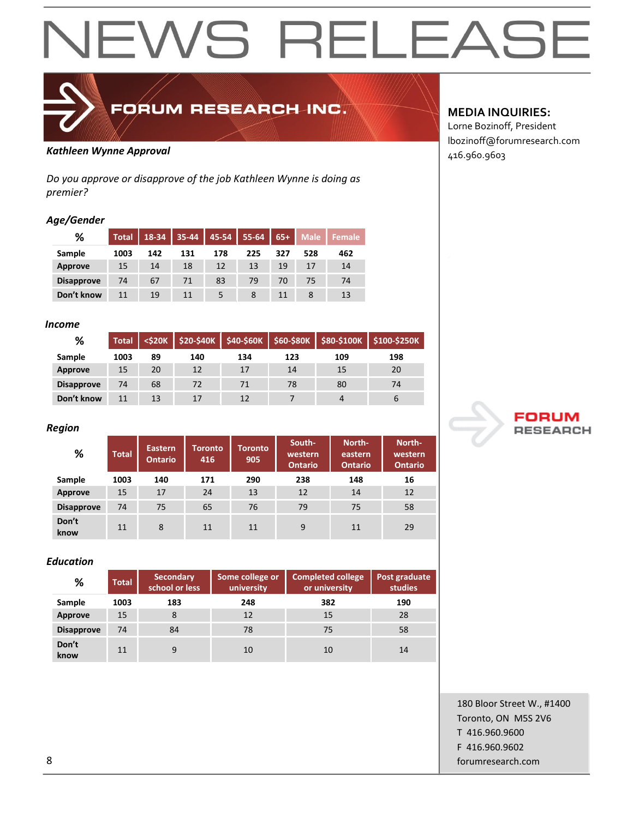

## FORUM RESEARCH INC.

### 416.960.9603 *Kathleen Wynne Approval*

*Do you approve or disapprove of the job Kathleen Wynne is doing as premier?*

#### *Age/Gender*

| %                 | <b>Total</b> | $18-34$ | 35-44 | 45-54 | $55 - 64$ | $65+$ | <b>Male</b> | <b>Female</b> |
|-------------------|--------------|---------|-------|-------|-----------|-------|-------------|---------------|
| Sample            | 1003         | 142     | 131   | 178   | 225       | 327   | 528         | 462           |
| <b>Approve</b>    | 15           | 14      | 18    | 12    | 13        | 19    | 17          | 14            |
| <b>Disapprove</b> | 74           | 67      | 71    | 83    | 79        | 70    | 75          | 74            |
| Don't know        | 11           | 19      | 11    |       |           |       |             | 13            |

#### *Income*

| ℅                 | <b>Total</b> | $<$ \$20K |     |     |     |     | \$20-\$40K   \$40-\$60K   \$60-\$80K   \$80-\$100K   \$100-\$250K |
|-------------------|--------------|-----------|-----|-----|-----|-----|-------------------------------------------------------------------|
| Sample            | 1003         | 89        | 140 | 134 | 123 | 109 | 198                                                               |
| Approve           | 15           | 20        | 12  | 17  | 14  | 15  | 20                                                                |
| <b>Disapprove</b> | 74           | 68        | 72  | 71  | 78  | 80  | 74                                                                |
| Don't know        | 11           | 13        | 17  | 12  |     | 4   | b                                                                 |

#### *Region*

| %                 | <b>Total</b> | <b>Eastern</b><br><b>Ontario</b> | Toronto<br>416 | <b>Toronto</b><br>905 | South-<br>western<br><b>Ontario</b> | North-<br>eastern<br><b>Ontario</b> | North-<br>western<br><b>Ontario</b> |
|-------------------|--------------|----------------------------------|----------------|-----------------------|-------------------------------------|-------------------------------------|-------------------------------------|
| Sample            | 1003         | 140                              | 171            | 290                   | 238                                 | 148                                 | 16                                  |
| Approve           | 15           | 17                               | 24             | 13                    | 12                                  | 14                                  | 12                                  |
| <b>Disapprove</b> | 74           | 75                               | 65             | 76                    | 79                                  | 75                                  | 58                                  |
| Don't<br>know     | 11           | 8                                | 11             | 11                    | 9                                   | 11                                  | 29                                  |

#### *Education*

| %                 | <b>Total</b> | <b>Secondary</b><br>school or less | Some college or<br>university | <b>Completed college</b><br>or university | Post graduate<br>studies |
|-------------------|--------------|------------------------------------|-------------------------------|-------------------------------------------|--------------------------|
| Sample            | 1003         | 183                                | 248                           | 382                                       | 190                      |
| Approve           | 15           | 8                                  | 12                            | 15                                        | 28                       |
| <b>Disapprove</b> | 74           | 84                                 | 78                            | 75                                        | 58                       |
| Don't<br>know     | 11           | 9                                  | 10                            | 10                                        | 14                       |

#### **MEDIA INQUIRIES:**

Lorne Bozinoff, President lbozinoff@forumresearch.com



180 Bloor Street W., #1400 Toronto, ON M5S 2V6 T 416.960.9600 F 416.960.9602 8 forumresearch.com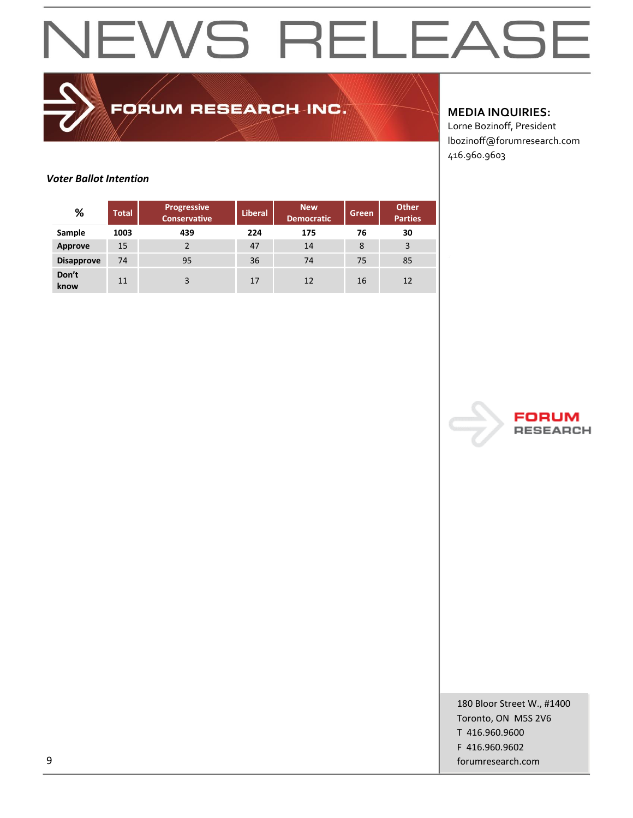FORUM RESEARCH INC.

#### **MEDIA INQUIRIES:**

Lorne Bozinoff, President lbozinoff@forumresearch.com 416.960.9603

#### *Voter Ballot Intention*

| %                 | <b>Total</b> | <b>Progressive</b><br><b>Conservative</b> | <b>Liberal</b> | <b>New</b><br><b>Democratic</b> | <b>Green</b> | <b>Other</b><br><b>Parties</b> |
|-------------------|--------------|-------------------------------------------|----------------|---------------------------------|--------------|--------------------------------|
| Sample            | 1003         | 439                                       | 224            | 175                             | 76           | 30                             |
| Approve           | 15           | $\overline{2}$                            | 47             | 14                              | 8            | 3                              |
| <b>Disapprove</b> | 74           | 95                                        | 36             | 74                              | 75           | 85                             |
| Don't<br>know     | 11           | 3                                         | 17             | 12                              | 16           | 12                             |



180 Bloor Street W., #1400 Toronto, ON M5S 2V6 T 416.960.9600 F 416.960.9602 9 forumresearch.com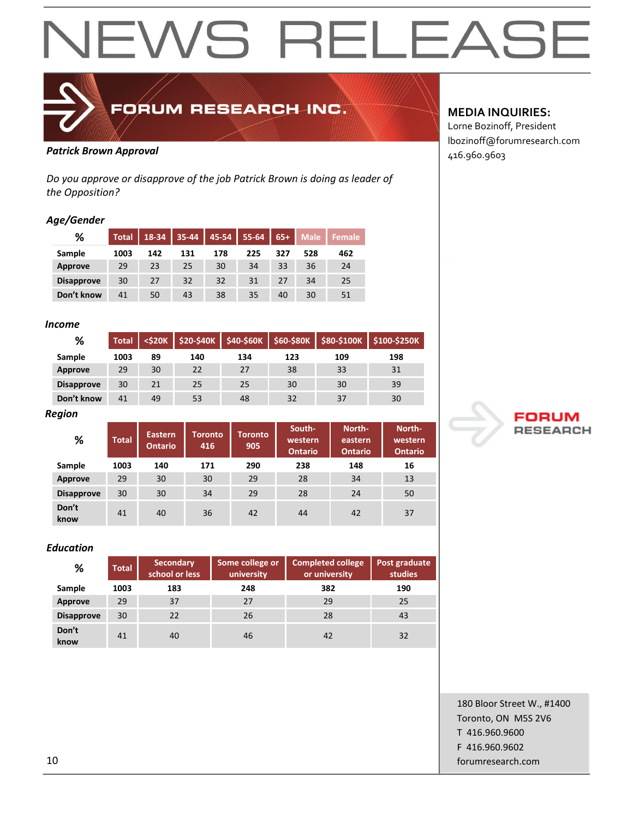

### FORUM RESEARCH INC.

### Patrick Brown Approval **Patrick Brown Approval**

*Do you approve or disapprove of the job Patrick Brown is doing as leader of the Opposition?*

#### *Age/Gender*

| %                 | <b>Total</b> | 18-34 | 35-44 | 45-54 | 55-64 | $65+$ | <b>Male</b> | Female |
|-------------------|--------------|-------|-------|-------|-------|-------|-------------|--------|
| Sample            | 1003         | 142   | 131   | 178   | 225   | 327   | 528         | 462    |
| Approve           | 29           | 23    | 25    | 30    | 34    | 33    | 36          | 24     |
| <b>Disapprove</b> | 30           | 27    | 32    | 32    | 31    | 27    | 34          | 25     |
| Don't know        | 41           | 50    | 43    | 38    | 35    | 40    | 30          | 51     |

#### *Income*

| %                 | <b>Total</b> | $<$ \$20K |     |     |     | $$20-$40K$ $$40-$60K$ $$60-$80K$ $$80-$100K$ | \$100-\$250K |
|-------------------|--------------|-----------|-----|-----|-----|----------------------------------------------|--------------|
| Sample            | 1003         | 89        | 140 | 134 | 123 | 109                                          | 198          |
| Approve           | 29           | 30        | 22  | 27  | 38  | 33                                           | 31           |
| <b>Disapprove</b> | 30           | 21        | 25  | 25  | 30  | 30                                           | 39           |
| Don't know        | 41           | 49        | 53  | 48  | 32  | 37                                           | 30           |

*Region* 

| %                 | <b>Total</b> | Eastern<br><b>Ontario</b> | Toronto<br>416 | Toronto<br>905 | South-<br>western<br><b>Ontario</b> | North-<br>eastern<br><b>Ontario</b> | North-<br>western<br><b>Ontario</b> |
|-------------------|--------------|---------------------------|----------------|----------------|-------------------------------------|-------------------------------------|-------------------------------------|
| Sample            | 1003         | 140                       | 171            | 290            | 238                                 | 148                                 | 16                                  |
| Approve           | 29           | 30                        | 30             | 29             | 28                                  | 34                                  | 13                                  |
| <b>Disapprove</b> | 30           | 30                        | 34             | 29             | 28                                  | 24                                  | 50                                  |
| Don't<br>know     | 41           | 40                        | 36             | 42             | 44                                  | 42                                  | 37                                  |

#### *Education*

| %                 | <b>Total</b> | Secondary<br>school or less | Some college or<br>university | <b>Completed college</b><br>or university | Post graduate<br>studies |
|-------------------|--------------|-----------------------------|-------------------------------|-------------------------------------------|--------------------------|
| Sample            | 1003         | 183                         | 248                           | 382                                       | 190                      |
| <b>Approve</b>    | 29           | 37                          | 27                            | 29                                        | 25                       |
| <b>Disapprove</b> | 30           | 22                          | 26                            | 28                                        | 43                       |
| Don't<br>know     | 41           | 40                          | 46                            | 42                                        | 32                       |

#### **MEDIA INQUIRIES:**

Lorne Bozinoff, President lbozinoff@forumresearch.com



180 Bloor Street W., #1400 Toronto, ON M5S 2V6 T 416.960.9600 F 416.960.9602 10 forumresearch.com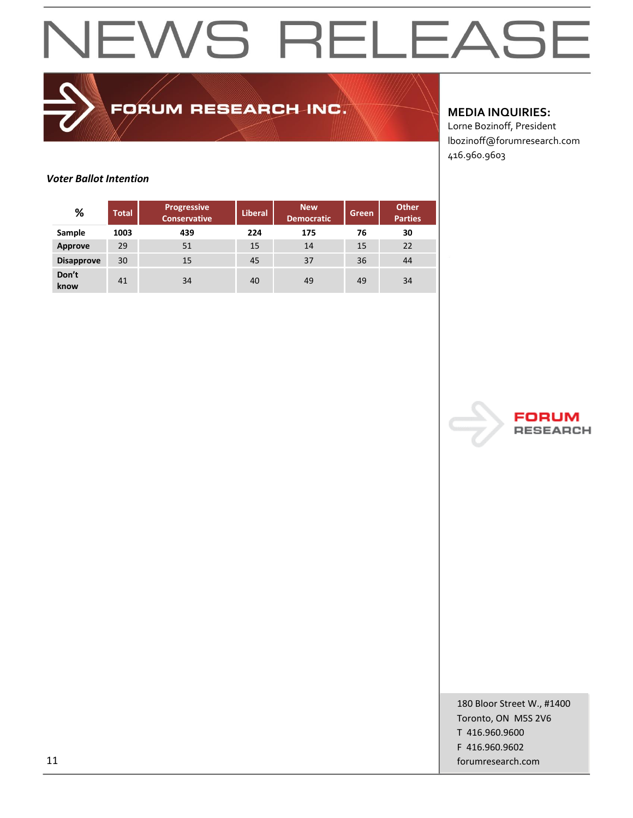FORUM RESEARCH INC.

#### **MEDIA INQUIRIES:**

Lorne Bozinoff, President lbozinoff@forumresearch.com 416.960.9603

#### *Voter Ballot Intention*

| %                 | <b>Total</b> | <b>Progressive</b><br><b>Conservative</b> | <b>Liberal</b> | New<br><b>Democratic</b> | Green | <b>Other</b><br><b>Parties</b> |
|-------------------|--------------|-------------------------------------------|----------------|--------------------------|-------|--------------------------------|
| Sample            | 1003         | 439                                       | 224            | 175                      | 76    | 30                             |
| Approve           | 29           | 51                                        | 15             | 14                       | 15    | 22                             |
| <b>Disapprove</b> | 30           | 15                                        | 45             | 37                       | 36    | 44                             |
| Don't<br>know     | 41           | 34                                        | 40             | 49                       | 49    | 34                             |



180 Bloor Street W., #1400 Toronto, ON M5S 2V6 T 416.960.9600 F 416.960.9602 11 forumresearch.com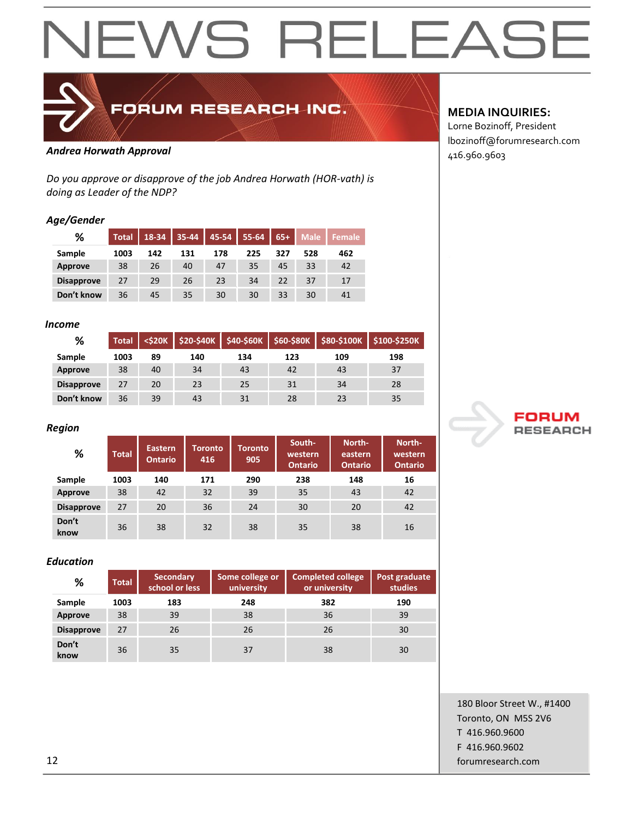

FORUM RESEARCH INC.

### Andrea Horwath Approval **Andrea Horwath Approval**

*Do you approve or disapprove of the job Andrea Horwath (HOR-vath) is doing as Leader of the NDP?*

#### *Age/Gender*

| %                 | <b>Total</b> | 18-34 | 35-44 | 45-54 | 55-64 | $65+$ | <b>Male</b> | <b>Female</b> |
|-------------------|--------------|-------|-------|-------|-------|-------|-------------|---------------|
| Sample            | 1003         | 142   | 131   | 178   | 225   | 327   | 528         | 462           |
| Approve           | 38           | 26    | 40    | 47    | 35    | 45    | 33          | 42            |
| <b>Disapprove</b> | 27           | 29    | 26    | 23    | 34    | 22    | 37          | 17            |
| Don't know        | 36           | 45    | 35    | 30    | 30    | 33    | 30          | 41            |

#### *Income*

| %                 | <b>Total</b> | $<$ \$20K | $$20-$40K$ | \$40-\$60K |     |     | \$60-\$80K \$80-\$100K \$100-\$250K |
|-------------------|--------------|-----------|------------|------------|-----|-----|-------------------------------------|
| Sample            | 1003         | 89        | 140        | 134        | 123 | 109 | 198                                 |
| Approve           | 38           | 40        | 34         | 43         | 42  | 43  | 37                                  |
| <b>Disapprove</b> | 27           | 20        | 23         | 25         | 31  | 34  | 28                                  |
| Don't know        | 36           | 39        | 43         | 31         | 28  | 23  | 35                                  |

#### *Region*

| %                 | <b>Total</b> | <b>Eastern</b><br><b>Ontario</b> | Toronto<br>416 | Toronto<br>905 | South-<br>western<br><b>Ontario</b> | North-<br>eastern<br><b>Ontario</b> | North-<br>western<br><b>Ontario</b> |
|-------------------|--------------|----------------------------------|----------------|----------------|-------------------------------------|-------------------------------------|-------------------------------------|
| Sample            | 1003         | 140                              | 171            | 290            | 238                                 | 148                                 | 16                                  |
| Approve           | 38           | 42                               | 32             | 39             | 35                                  | 43                                  | 42                                  |
| <b>Disapprove</b> | 27           | 20                               | 36             | 24             | 30                                  | 20                                  | 42                                  |
| Don't<br>know     | 36           | 38                               | 32             | 38             | 35                                  | 38                                  | 16                                  |

#### *Education*

| %                 | <b>Total</b> | <b>Secondary</b><br>school or less | Some college or<br>university | <b>Completed college</b><br>or university | Post graduate<br>studies |
|-------------------|--------------|------------------------------------|-------------------------------|-------------------------------------------|--------------------------|
| Sample            | 1003         | 183                                | 248                           | 382                                       | 190                      |
| Approve           | 38           | 39                                 | 38                            | 36                                        | 39                       |
| <b>Disapprove</b> | 27           | 26                                 | 26                            | 26                                        | 30                       |
| Don't<br>know     | 36           | 35                                 | 37                            | 38                                        | 30                       |

#### **MEDIA INQUIRIES:**

Lorne Bozinoff, President lbozinoff@forumresearch.com



180 Bloor Street W., #1400 Toronto, ON M5S 2V6 T 416.960.9600 F 416.960.9602 12 forumresearch.com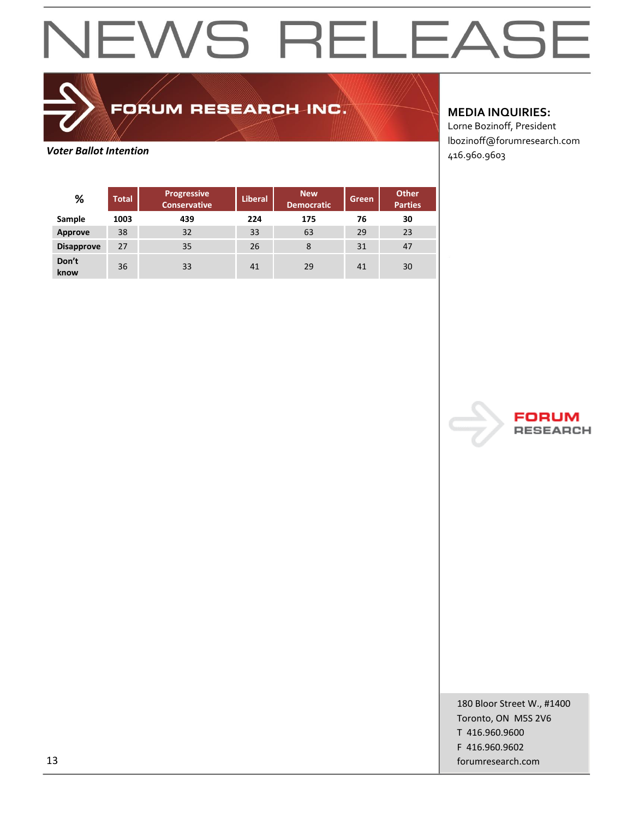FORUM RESEARCH INC.

**Voter Ballot Intention**<br> **Voter Ballot Intention** 

**MEDIA INQUIRIES:**

Lorne Bozinoff, President lbozinoff@forumresearch.com

| %                 | <b>Total</b> | Progressive<br><b>Conservative</b> | Liberal. | <b>New</b><br><b>Democratic</b> | Green | <b>Other</b><br><b>Parties</b> |
|-------------------|--------------|------------------------------------|----------|---------------------------------|-------|--------------------------------|
| Sample            | 1003         | 439                                | 224      | 175                             | 76    | 30                             |
| Approve           | 38           | 32                                 | 33       | 63                              | 29    | 23                             |
| <b>Disapprove</b> | 27           | 35                                 | 26       | 8                               | 31    | 47                             |
| Don't<br>know     | 36           | 33                                 | 41       | 29                              | 41    | 30                             |



180 Bloor Street W., #1400 Toronto, ON M5S 2V6 T 416.960.9600 F 416.960.9602 13 forumresearch.com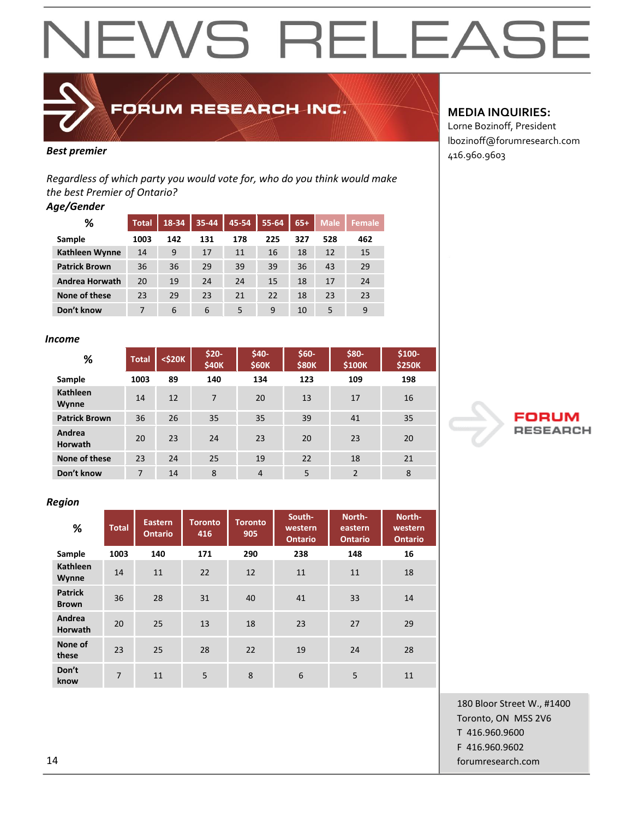

FORUM RESEARCH INC.

*Regardless of which party you would vote for, who do you think would make the best Premier of Ontario?*

#### *Age/Gender*

| ℅                     | <b>Total</b> | 18-34 | 35-44 | 45-54 | 55-64 | $65+$ | <b>Male</b> | <b>Female</b> |
|-----------------------|--------------|-------|-------|-------|-------|-------|-------------|---------------|
| Sample                | 1003         | 142   | 131   | 178   | 225   | 327   | 528         | 462           |
| Kathleen Wynne        | 14           | 9     | 17    | 11    | 16    | 18    | 12          | 15            |
| <b>Patrick Brown</b>  | 36           | 36    | 29    | 39    | 39    | 36    | 43          | 29            |
| <b>Andrea Horwath</b> | 20           | 19    | 24    | 24    | 15    | 18    | 17          | 24            |
| None of these         | 23           | 29    | 23    | 21    | 22    | 18    | 23          | 23            |
| Don't know            | 7            | 6     | 6     | 5     | 9     | 10    | 5           | 9             |

#### *Income*

| ℅                        | <b>Total</b> | $<$ \$20 $K$ | $$20-$<br>\$40K | $$40-$<br><b>\$60K</b> | $$60-$<br><b>\$80K</b> | \$80-<br>\$100K | \$100-<br><b>\$250K</b> |
|--------------------------|--------------|--------------|-----------------|------------------------|------------------------|-----------------|-------------------------|
| Sample                   | 1003         | 89           | 140             | 134                    | 123                    | 109             | 198                     |
| <b>Kathleen</b><br>Wynne | 14           | 12           | $\overline{7}$  | 20                     | 13                     | 17              | 16                      |
| <b>Patrick Brown</b>     | 36           | 26           | 35              | 35                     | 39                     | 41              | 35                      |
| Andrea<br><b>Horwath</b> | 20           | 23           | 24              | 23                     | 20                     | 23              | 20                      |
| None of these            | 23           | 24           | 25              | 19                     | 22                     | 18              | 21                      |
| Don't know               | 7            | 14           | 8               | $\overline{4}$         | 5                      | $\overline{2}$  | 8                       |

#### *Region*

| %                              | <b>Total</b>   | Eastern<br><b>Ontario</b> | <b>Toronto</b><br>416 | <b>Toronto</b><br>905 | South-<br>western<br><b>Ontario</b> | North-<br>eastern<br><b>Ontario</b> | North-<br>western<br><b>Ontario</b> |
|--------------------------------|----------------|---------------------------|-----------------------|-----------------------|-------------------------------------|-------------------------------------|-------------------------------------|
| Sample                         | 1003           | 140                       | 171                   | 290                   | 238                                 | 148                                 | 16                                  |
| <b>Kathleen</b><br>Wynne       | 14             | 11                        | 22                    | 12                    | 11                                  | 11                                  | 18                                  |
| <b>Patrick</b><br><b>Brown</b> | 36             | 28                        | 31                    | 40                    | 41                                  | 33                                  | 14                                  |
| Andrea<br><b>Horwath</b>       | 20             | 25                        | 13                    | 18                    | 23                                  | 27                                  | 29                                  |
| None of<br>these               | 23             | 25                        | 28                    | 22                    | 19                                  | 24                                  | 28                                  |
| Don't<br>know                  | $\overline{7}$ | 11                        | 5                     | 8                     | 6                                   | 5                                   | 11                                  |

### **MEDIA INQUIRIES:**

Lorne Bozinoff, President lbozinoff@forumresearch.com **Best premier and a set of the set of the set of the set of the set of the set of the set of the set of the set of the set of the set of the set of the set of the set of the set of the set of the set of the set of the se** 



180 Bloor Street W., #1400 Toronto, ON M5S 2V6 T 416.960.9600 F 416.960.9602 14 forumresearch.com